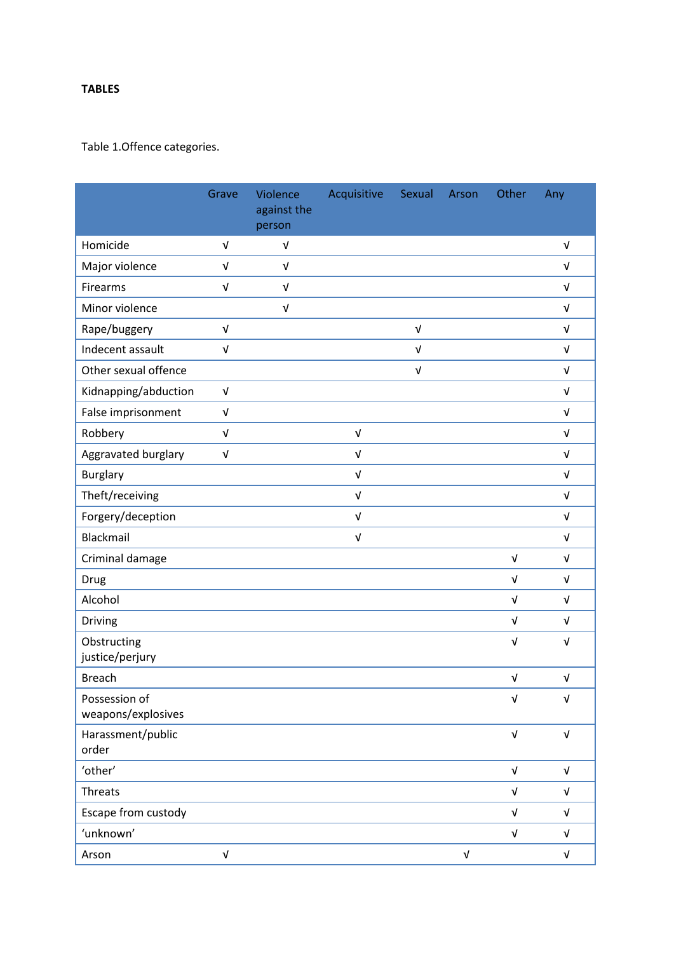## **TABLES**

## Table 1.Offence categories.

|                                     | Grave                     | Violence<br>against the<br>person | Acquisitive               | Sexual     | Arson                     | Other      | Any                       |
|-------------------------------------|---------------------------|-----------------------------------|---------------------------|------------|---------------------------|------------|---------------------------|
| Homicide                            | $\sqrt{ }$                | $\sqrt{ }$                        |                           |            |                           |            | $\sqrt{ }$                |
| Major violence                      | $\sqrt{ }$                | $\sqrt{ }$                        |                           |            |                           |            | $\sqrt{ }$                |
| Firearms                            | $\sqrt{ }$                | $\ensuremath{\mathsf{V}}$         |                           |            |                           |            | $\sqrt{ }$                |
| Minor violence                      |                           | $\sqrt{ }$                        |                           |            |                           |            | $\sqrt{ }$                |
| Rape/buggery                        | $\sqrt{ }$                |                                   |                           | $\sqrt{ }$ |                           |            | $\sqrt{ }$                |
| Indecent assault                    | $\sqrt{ }$                |                                   |                           | $\sqrt{ }$ |                           |            | $\sqrt{ }$                |
| Other sexual offence                |                           |                                   |                           | $\sqrt{ }$ |                           |            | $\sqrt{ }$                |
| Kidnapping/abduction                | $\sqrt{ }$                |                                   |                           |            |                           |            | $\sqrt{ }$                |
| False imprisonment                  | $\sqrt{ }$                |                                   |                           |            |                           |            | $\sqrt{ }$                |
| Robbery                             | $\sqrt{ }$                |                                   | $\sqrt{ }$                |            |                           |            | $\sqrt{ }$                |
| Aggravated burglary                 | $\sqrt{ }$                |                                   | $\sqrt{ }$                |            |                           |            | $\sqrt{ }$                |
| <b>Burglary</b>                     |                           |                                   | $\sqrt{ }$                |            |                           |            | $\sqrt{ }$                |
| Theft/receiving                     |                           |                                   | $\ensuremath{\mathsf{V}}$ |            |                           |            | $\sqrt{ }$                |
| Forgery/deception                   |                           |                                   | $\sqrt{ }$                |            |                           |            | $\sqrt{ }$                |
| Blackmail                           |                           |                                   | $\sqrt{ }$                |            |                           |            | $\sqrt{ }$                |
| Criminal damage                     |                           |                                   |                           |            |                           | $\sqrt{ }$ | $\sqrt{ }$                |
| Drug                                |                           |                                   |                           |            |                           | $\sqrt{ }$ | $\sqrt{ }$                |
| Alcohol                             |                           |                                   |                           |            |                           | $\sqrt{ }$ | $\sqrt{ }$                |
| Driving                             |                           |                                   |                           |            |                           | $\sqrt{ }$ | $\sqrt{ }$                |
| Obstructing<br>justice/perjury      |                           |                                   |                           |            |                           | $\sqrt{ }$ | $\sqrt{ }$                |
| <b>Breach</b>                       |                           |                                   |                           |            |                           | $\sqrt{ }$ | $\ensuremath{\mathsf{V}}$ |
| Possession of<br>weapons/explosives |                           |                                   |                           |            |                           | $\sqrt{ }$ | $\sqrt{ }$                |
| Harassment/public<br>order          |                           |                                   |                           |            |                           | $\sqrt{ }$ | $\sqrt{ }$                |
| 'other'                             |                           |                                   |                           |            |                           | $\sqrt{ }$ | $\sqrt{ }$                |
| <b>Threats</b>                      |                           |                                   |                           |            |                           | $\sqrt{ }$ | $\sqrt{ }$                |
| Escape from custody                 |                           |                                   |                           |            |                           | V          | $\sqrt{ }$                |
| 'unknown'                           |                           |                                   |                           |            |                           | $\sqrt{ }$ | $\sqrt{ }$                |
| Arson                               | $\ensuremath{\mathsf{V}}$ |                                   |                           |            | $\ensuremath{\mathsf{V}}$ |            | $\sqrt{ }$                |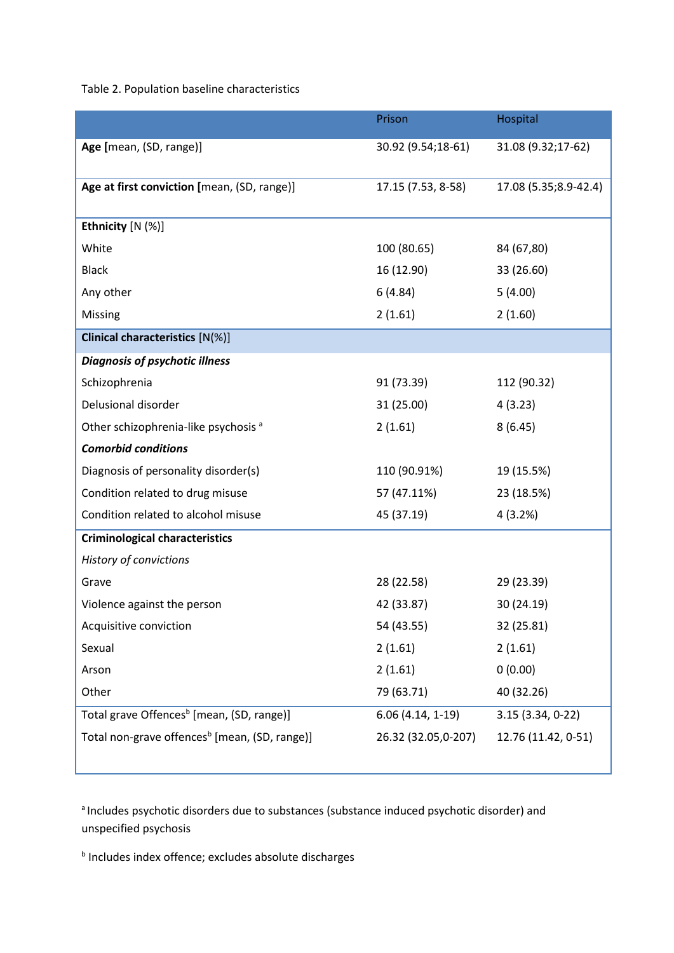Table 2. Population baseline characteristics

|                                                           | Prison              | Hospital              |  |
|-----------------------------------------------------------|---------------------|-----------------------|--|
| Age [mean, (SD, range)]                                   | 30.92 (9.54;18-61)  | 31.08 (9.32;17-62)    |  |
| Age at first conviction [mean, (SD, range)]               | 17.15 (7.53, 8-58)  | 17.08 (5.35;8.9-42.4) |  |
| Ethnicity [N (%)]                                         |                     |                       |  |
| White                                                     | 100 (80.65)         | 84 (67,80)            |  |
| <b>Black</b>                                              | 16 (12.90)          | 33 (26.60)            |  |
| Any other                                                 | 6(4.84)             | 5(4.00)               |  |
| Missing                                                   | 2(1.61)             | 2(1.60)               |  |
| <b>Clinical characteristics [N(%)]</b>                    |                     |                       |  |
| <b>Diagnosis of psychotic illness</b>                     |                     |                       |  |
| Schizophrenia                                             | 91 (73.39)          | 112 (90.32)           |  |
| Delusional disorder                                       | 31 (25.00)          | 4(3.23)               |  |
| Other schizophrenia-like psychosis <sup>a</sup>           | 2(1.61)             | 8(6.45)               |  |
| <b>Comorbid conditions</b>                                |                     |                       |  |
| Diagnosis of personality disorder(s)                      | 110 (90.91%)        | 19 (15.5%)            |  |
| Condition related to drug misuse                          | 57 (47.11%)         | 23 (18.5%)            |  |
| Condition related to alcohol misuse                       | 45 (37.19)          | 4(3.2%)               |  |
| <b>Criminological characteristics</b>                     |                     |                       |  |
| History of convictions                                    |                     |                       |  |
| Grave                                                     | 28 (22.58)          | 29 (23.39)            |  |
| Violence against the person                               | 42 (33.87)          | 30 (24.19)            |  |
| Acquisitive conviction                                    | 54 (43.55)          | 32 (25.81)            |  |
| Sexual                                                    | 2(1.61)             | 2(1.61)               |  |
| Arson                                                     | 2(1.61)             | 0(0.00)               |  |
| Other                                                     | 79 (63.71)          | 40 (32.26)            |  |
| Total grave Offences <sup>b</sup> [mean, (SD, range)]     | $6.06(4.14, 1-19)$  | 3.15 (3.34, 0-22)     |  |
| Total non-grave offences <sup>b</sup> [mean, (SD, range)] | 26.32 (32.05,0-207) | 12.76 (11.42, 0-51)   |  |
|                                                           |                     |                       |  |

<sup>a</sup> Includes psychotic disorders due to substances (substance induced psychotic disorder) and unspecified psychosis

**b** Includes index offence; excludes absolute discharges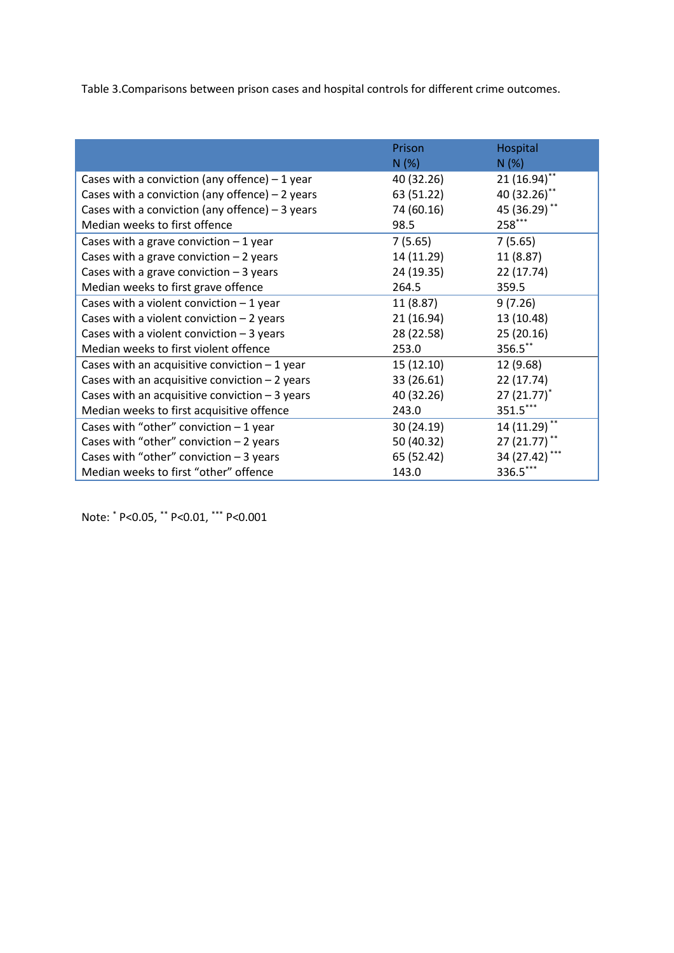Table 3.Comparisons between prison cases and hospital controls for different crime outcomes.

|                                                  | Prison<br>N(%) | Hospital<br>N(%) |
|--------------------------------------------------|----------------|------------------|
| Cases with a conviction (any offence) $-1$ year  | 40 (32.26)     | $21(16.94)$ **   |
| Cases with a conviction (any offence) $-2$ years | 63 (51.22)     | 40 (32.26)**     |
| Cases with a conviction (any offence) $-3$ years | 74 (60.16)     | 45 (36.29)**     |
| Median weeks to first offence                    | 98.5           | 258***           |
| Cases with a grave conviction $-1$ year          | 7(5.65)        | 7(5.65)          |
| Cases with a grave conviction $-2$ years         | 14 (11.29)     | 11 (8.87)        |
| Cases with a grave conviction $-3$ years         | 24 (19.35)     | 22 (17.74)       |
| Median weeks to first grave offence              | 264.5          | 359.5            |
| Cases with a violent conviction $-1$ year        | 11(8.87)       | 9(7.26)          |
| Cases with a violent conviction $-2$ years       | 21 (16.94)     | 13 (10.48)       |
| Cases with a violent conviction $-3$ years       | 28 (22.58)     | 25 (20.16)       |
| Median weeks to first violent offence            | 253.0          | 356.5**          |
| Cases with an acquisitive conviction $-1$ year   | 15(12.10)      | 12 (9.68)        |
| Cases with an acquisitive conviction $-2$ years  | 33 (26.61)     | 22 (17.74)       |
| Cases with an acquisitive conviction $-3$ years  | 40 (32.26)     | $27(21.77)^*$    |
| Median weeks to first acquisitive offence        | 243.0          | 351.5***         |
| Cases with "other" conviction $-1$ year          | 30 (24.19)     | 14 (11.29)**     |
| Cases with "other" conviction $-2$ years         | 50 (40.32)     | $27(21.77)$ **   |
| Cases with "other" conviction $-3$ years         | 65 (52.42)     | 34 (27.42) ***   |
| Median weeks to first "other" offence            | 143.0          | 336.5***         |

Note: \* P<0.05, \*\* P<0.01, \*\*\* P<0.001